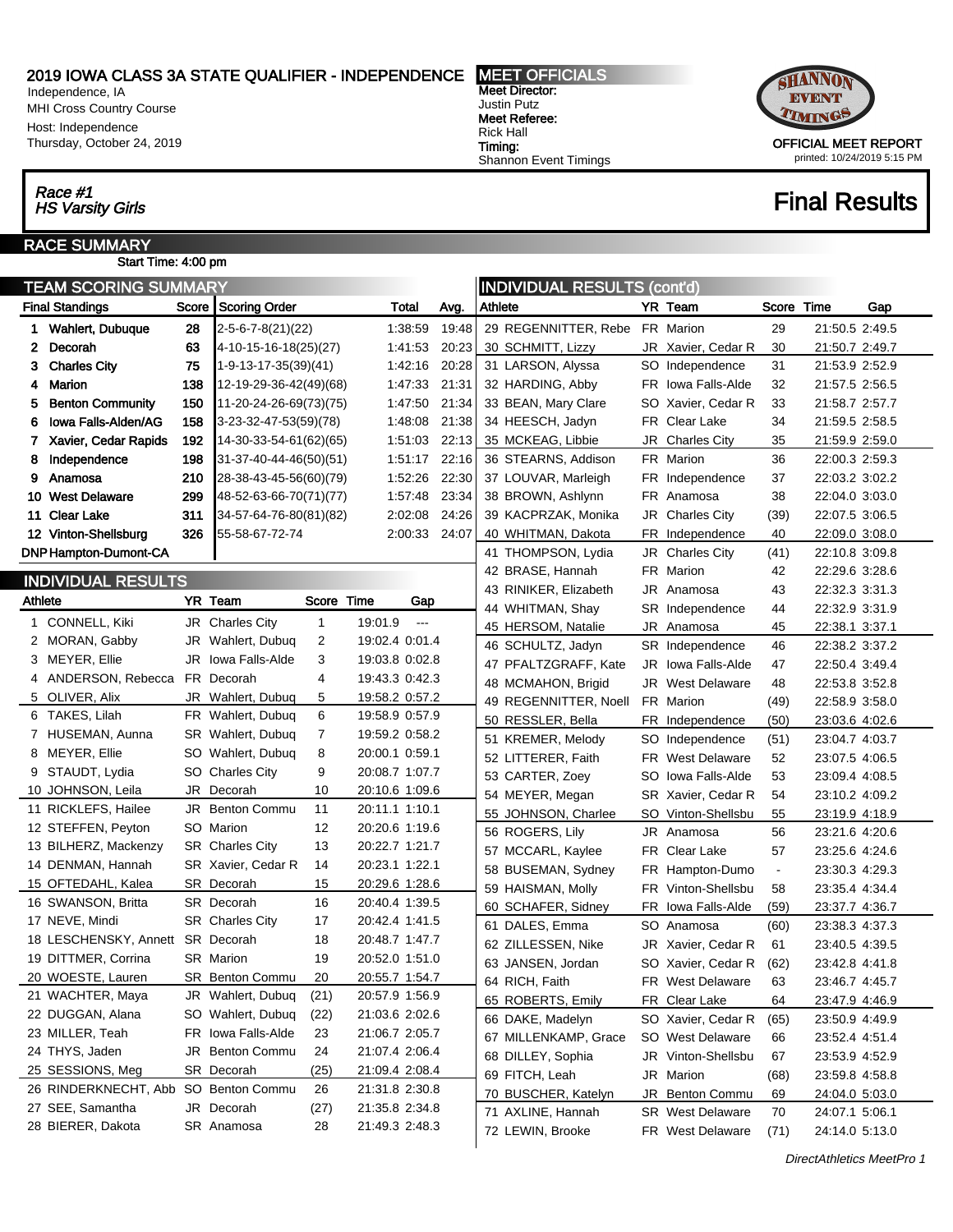Independence, IA MHI Cross Country Course Host: Independence Thursday, October 24, 2019

## Race #1<br>HS Varsity Girls

Ĭ.

#### RACE SUMMARY Start Time: 4:00 pm

| <b>TEAM SCORING SUMMARY</b><br><b>  INDIVIDUAL RESULTS (cont'd)</b> |                                      |         |                                 |                |               |  |                       |     |                         |                |                                  |     |
|---------------------------------------------------------------------|--------------------------------------|---------|---------------------------------|----------------|---------------|--|-----------------------|-----|-------------------------|----------------|----------------------------------|-----|
|                                                                     | <b>Final Standings</b>               | Score   | Scoring Order                   | Total          | Avg.          |  | Athlete               |     | YR Team                 | Score          | Time                             | Gap |
|                                                                     | 1 Wahlert, Dubuque                   | 28      | $2 - 5 - 6 - 7 - 8(21)(22)$     | 1:38:59        | 19:48         |  | 29 REGENNITTER, Rebe  |     | FR Marion               | 29             | 21:50.5 2:49.5                   |     |
| $\mathbf{2}$                                                        | Decorah                              | 63      | 4-10-15-16-18(25)(27)           | 1:41:53        | 20:23         |  | 30 SCHMITT, Lizzy     |     | JR Xavier, Cedar R      | 30             | 21:50.7 2:49.7                   |     |
|                                                                     | 3 Charles City                       | 75      | 1-9-13-17-35(39)(41)            | 1:42:16        | 20:28         |  | 31 LARSON, Alyssa     |     | SO Independence         | 31             | 21:53.9 2:52.9                   |     |
|                                                                     | 4 Marion                             | 138     | 12-19-29-36-42(49)(68)          | 1:47:33        | 21:31         |  | 32 HARDING, Abby      |     | FR Iowa Falls-Alde      | 32             | 21:57.5 2:56.5                   |     |
| 5.                                                                  | <b>Benton Community</b>              | 150     | 11-20-24-26-69(73)(75)          | 1:47:50        | 21:34         |  | 33 BEAN, Mary Clare   | SO. | Xavier, Cedar R         | 33             | 21:58.7 2:57.7                   |     |
| 6                                                                   | Iowa Falls-Alden/AG                  | 158     | 3-23-32-47-53(59)(78)           | 1:48:08        | 21:38         |  | 34 HEESCH, Jadyn      |     | FR Clear Lake           | 34             | 21:59.5 2:58.5                   |     |
|                                                                     | 7 Xavier, Cedar Rapids               | 192     | 14-30-33-54-61(62)(65)          | 1:51:03        | 22:13         |  | 35 MCKEAG, Libbie     | JR  | <b>Charles City</b>     | 35             | 21:59.9 2:59.0                   |     |
| 8                                                                   | Independence                         | 198     | 31-37-40-44-46(50)(51)          | 1:51:17        | 22:16         |  | 36 STEARNS, Addison   |     | FR Marion               | 36             | 22:00.3 2:59.3                   |     |
|                                                                     | 9 Anamosa                            | 210     | 28-38-43-45-56(60)(79)          | 1:52:26        | 22:30         |  | 37 LOUVAR, Marleigh   |     | FR Independence         | 37             | 22:03.2 3:02.2                   |     |
|                                                                     | 10 West Delaware                     | 299     | 48-52-63-66-70(71)(77)          | 1:57:48        | 23:34         |  | 38 BROWN, Ashlynn     |     | FR Anamosa              | 38             | 22:04.0 3:03.0                   |     |
|                                                                     | 11 Clear Lake                        | 311     | 34-57-64-76-80(81)(82)          | 2:02:08        | 24:26         |  | 39 KACPRZAK, Monika   |     | JR Charles City         | (39)           | 22:07.5 3:06.5                   |     |
|                                                                     | 12 Vinton-Shellsburg                 | 326     | 55-58-67-72-74                  | 2:00:33        | 24:07         |  | 40 WHITMAN, Dakota    | FR  | Independence            | 40             | 22:09.0 3:08.0                   |     |
|                                                                     | <b>DNP Hampton-Dumont-CA</b>         |         |                                 |                |               |  | 41 THOMPSON, Lydia    |     | JR Charles City         | (41)           | 22:10.8 3:09.8                   |     |
|                                                                     |                                      |         |                                 |                |               |  | 42 BRASE, Hannah      |     | FR Marion               | 42             | 22:29.6 3:28.6                   |     |
|                                                                     | <b>INDIVIDUAL RESULTS</b>            |         |                                 |                |               |  | 43 RINIKER, Elizabeth |     | JR Anamosa              | 43             | 22:32.3 3:31.3                   |     |
| <b>Athlete</b>                                                      |                                      | YR Team |                                 | Score Time     | Gap           |  | 44 WHITMAN, Shay      |     | SR Independence         | 44             | 22:32.9 3:31.9                   |     |
|                                                                     | 1 CONNELL, Kiki                      |         | JR Charles City<br>$\mathbf{1}$ | 19:01.9        | $\sim$ $\sim$ |  | 45 HERSOM, Natalie    |     | JR Anamosa              | 45             | 22:38.1 3:37.1                   |     |
|                                                                     | 2 MORAN, Gabby                       |         | JR Wahlert, Dubug<br>2          | 19:02.4 0:01.4 |               |  | 46 SCHULTZ, Jadyn     |     | SR Independence         | 46             | 22:38.2 3:37.2                   |     |
|                                                                     | 3 MEYER, Ellie                       |         | 3<br>JR lowa Falls-Alde         | 19:03.8 0:02.8 |               |  | 47 PFALTZGRAFF, Kate  | JR. | Iowa Falls-Alde         | 47             | 22:50.4 3:49.4                   |     |
|                                                                     | 4 ANDERSON, Rebecca FR Decorah       |         | 4                               | 19:43.3 0:42.3 |               |  | 48 MCMAHON, Brigid    |     | <b>JR</b> West Delaware | 48             | 22:53.8 3:52.8                   |     |
|                                                                     | 5 OLIVER, Alix                       |         | JR Wahlert, Dubuq<br>5          | 19:58.2 0:57.2 |               |  | 49 REGENNITTER, Noell |     | FR Marion               | (49)           | 22:58.9 3:58.0                   |     |
|                                                                     | 6 TAKES, Lilah                       |         | 6<br>FR Wahlert, Dubuq          | 19:58.9 0:57.9 |               |  | 50 RESSLER, Bella     |     | FR Independence         | (50)           | 23:03.6 4:02.6                   |     |
|                                                                     | 7 HUSEMAN, Aunna                     |         | 7<br>SR Wahlert, Dubuq          | 19:59.2 0:58.2 |               |  | 51 KREMER, Melody     |     | SO Independence         | (51)           | 23:04.7 4:03.7                   |     |
|                                                                     | 8 MEYER, Ellie                       |         | 8<br>SO Wahlert, Dubuq          | 20:00.1 0:59.1 |               |  | 52 LITTERER, Faith    |     | <b>FR</b> West Delaware | 52             | 23:07.5 4:06.5                   |     |
|                                                                     | 9 STAUDT, Lydia                      |         | 9<br>SO Charles City            | 20:08.7 1:07.7 |               |  | 53 CARTER, Zoey       | SO. | Iowa Falls-Alde         | 53             | 23:09.4 4:08.5                   |     |
|                                                                     | 10 JOHNSON, Leila                    |         | JR Decorah<br>10                | 20:10.6 1:09.6 |               |  | 54 MEYER, Megan       |     | SR Xavier, Cedar R      | 54             | 23:10.2 4:09.2                   |     |
|                                                                     | 11 RICKLEFS, Hailee                  |         | JR Benton Commu<br>11           | 20:11.1 1:10.1 |               |  | 55 JOHNSON, Charlee   |     | SO Vinton-Shellsbu      | 55             | 23:19.9 4:18.9                   |     |
|                                                                     | 12 STEFFEN, Peyton                   |         | 12<br>SO Marion                 | 20:20.6 1:19.6 |               |  | 56 ROGERS, Lily       |     | JR Anamosa              | 56             | 23:21.6 4:20.6                   |     |
|                                                                     | 13 BILHERZ, Mackenzy                 |         | <b>SR</b> Charles City<br>13    | 20:22.7 1:21.7 |               |  | 57 MCCARL, Kaylee     |     | FR Clear Lake           | 57             | 23:25.6 4:24.6                   |     |
|                                                                     | 14 DENMAN, Hannah                    |         | SR Xavier, Cedar R<br>14        | 20:23.1 1:22.1 |               |  | 58 BUSEMAN, Sydney    | FR  | Hampton-Dumo            | $\blacksquare$ | 23:30.3 4:29.3                   |     |
|                                                                     | 15 OFTEDAHL, Kalea                   |         | 15<br>SR Decorah                | 20:29.6 1:28.6 |               |  | 59 HAISMAN, Molly     |     | FR Vinton-Shellsbu      | 58             | 23:35.4 4:34.4                   |     |
|                                                                     | 16 SWANSON, Britta                   |         | 16<br>SR Decorah                | 20:40.4 1:39.5 |               |  | 60 SCHAFER, Sidney    | FR  | Iowa Falls-Alde         | (59)           | 23:37.7 4:36.7                   |     |
|                                                                     | 17 NEVE, Mindi                       |         | <b>SR</b> Charles City<br>17    | 20:42.4 1:41.5 |               |  | 61 DALES, Emma        |     | SO Anamosa              | (60)           | 23:38.3 4:37.3                   |     |
|                                                                     | 18 LESCHENSKY, Annett SR Decorah     |         | 18                              | 20:48.7 1:47.7 |               |  | 62 ZILLESSEN, Nike    | JR  | Xavier, Cedar R         | 61             | 23:40.5 4:39.5                   |     |
|                                                                     | 19 DITTMER, Corrina                  |         | <b>SR</b> Marion<br>19          | 20:52.0 1:51.0 |               |  | 63 JANSEN, Jordan     |     | SO Xavier, Cedar R      | (62)           | 23:42.8 4:41.8                   |     |
|                                                                     | 20 WOESTE, Lauren                    |         | SR Benton Commu<br>20           | 20:55.7 1:54.7 |               |  | 64 RICH, Faith        |     | FR West Delaware        | 63             | 23:46.7 4:45.7                   |     |
|                                                                     | 21 WACHTER, Maya                     |         | JR Wahlert, Dubuq<br>(21)       | 20:57.9 1:56.9 |               |  | 65 ROBERTS, Emily     |     | FR Clear Lake           | 64             | 23:47.9 4:46.9                   |     |
|                                                                     | 22 DUGGAN, Alana                     |         | SO Wahlert, Dubuq<br>(22)       | 21:03.6 2:02.6 |               |  | 66 DAKE, Madelyn      |     | SO Xavier, Cedar R      | (65)           | 23:50.9 4:49.9                   |     |
|                                                                     | 23 MILLER, Teah                      |         | FR Iowa Falls-Alde<br>23        | 21:06.7 2:05.7 |               |  | 67 MILLENKAMP, Grace  |     | SO West Delaware        | 66             |                                  |     |
|                                                                     | 24 THYS, Jaden                       |         | 24<br>JR Benton Commu           | 21:07.4 2:06.4 |               |  | 68 DILLEY, Sophia     |     | JR Vinton-Shellsbu      | 67             | 23:52.4 4:51.4<br>23:53.9 4:52.9 |     |
|                                                                     | 25 SESSIONS, Meg                     |         | SR Decorah<br>(25)              | 21:09.4 2:08.4 |               |  |                       |     | JR Marion               |                |                                  |     |
|                                                                     | 26 RINDERKNECHT, Abb SO Benton Commu |         | 26                              | 21:31.8 2:30.8 |               |  | 69 FITCH, Leah        |     |                         | (68)           | 23:59.8 4:58.8                   |     |
|                                                                     | 27 SEE, Samantha                     |         | JR Decorah<br>(27)              | 21:35.8 2:34.8 |               |  | 70 BUSCHER, Katelyn   | JR  | Benton Commu            | 69             | 24:04.0 5:03.0                   |     |
|                                                                     | 28 BIERER, Dakota                    |         | SR Anamosa<br>28                | 21:49.3 2:48.3 |               |  | 71 AXLINE, Hannah     |     | <b>SR</b> West Delaware | 70             | 24:07.1 5:06.1                   |     |
|                                                                     |                                      |         |                                 |                |               |  | 72 LEWIN, Brooke      |     | FR West Delaware        | (71)           | 24:14.0 5:13.0                   |     |

Meet Director: Justin Putz Meet Referee: Rick Hall Timing: Shannon Event Timings

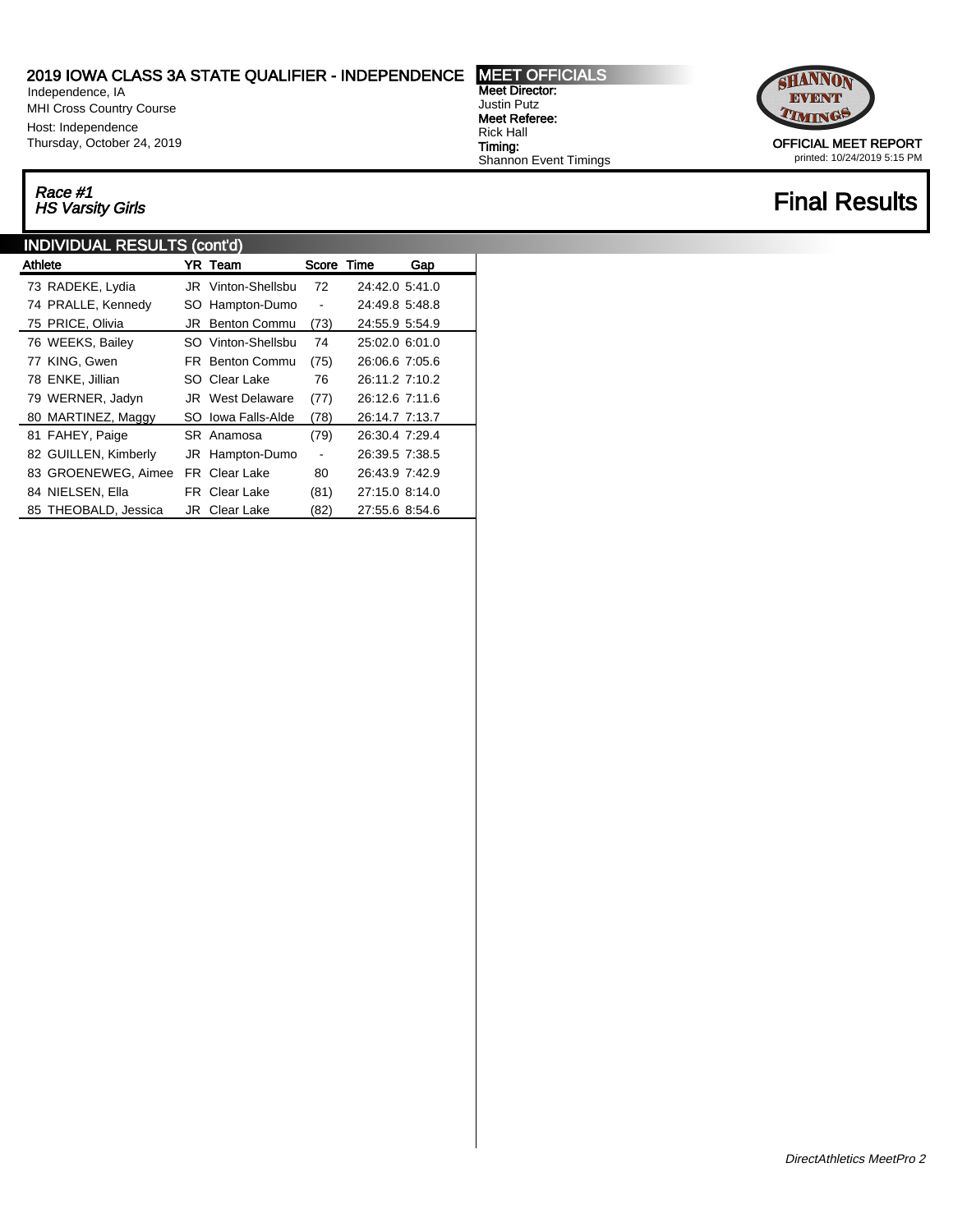Independence, IA MHI Cross Country Course Host: Independence Thursday, October 24, 2019

# Race #1<br>HS Varsity Girls

### INDIVIDUAL RESULTS (cont'd)

| <b>Athlete</b> |                      |     | YR Team                 | Score Time               |                | Gap |
|----------------|----------------------|-----|-------------------------|--------------------------|----------------|-----|
|                | 73 RADEKE, Lydia     |     | JR Vinton-Shellsbu      | 72                       | 24:42.0 5:41.0 |     |
|                | 74 PRALLE, Kennedy   |     | SO Hampton-Dumo         | $\overline{\phantom{a}}$ | 24:49.8 5:48.8 |     |
|                | 75 PRICE, Olivia     | JRI | Benton Commu            | (73)                     | 24:55.9 5:54.9 |     |
|                | 76 WEEKS, Bailey     |     | SO Vinton-Shellsbu      | 74                       | 25:02.0 6:01.0 |     |
|                | 77 KING, Gwen        |     | <b>FR</b> Benton Commu  | (75)                     | 26:06.6 7:05.6 |     |
|                | 78 ENKE, Jillian     |     | SO Clear Lake           | 76                       | 26:11.2 7:10.2 |     |
|                | 79 WERNER, Jadyn     |     | <b>JR</b> West Delaware | (77)                     | 26:12.6 7:11.6 |     |
|                | 80 MARTINEZ, Maggy   |     | SO Iowa Falls-Alde      | (78)                     | 26:14.7 7:13.7 |     |
|                | 81 FAHEY, Paige      |     | SR Anamosa              | (79)                     | 26:30.4 7:29.4 |     |
|                | 82 GUILLEN, Kimberly |     | JR Hampton-Dumo         | $\blacksquare$           | 26:39.5 7:38.5 |     |
|                | 83 GROENEWEG, Aimee  |     | <b>FR</b> Clear Lake    | 80                       | 26:43.9 7:42.9 |     |
|                | 84 NIELSEN, Ella     |     | <b>FR</b> Clear Lake    | (81)                     | 27:15.0 8:14.0 |     |
|                | 85 THEOBALD, Jessica |     | <b>JR</b> Clear Lake    | (82)                     | 27:55.6 8:54.6 |     |

Meet Director: Justin Putz Meet Referee: Rick Hall Timing: Shannon Event Timings



printed: 10/24/2019 5:15 PM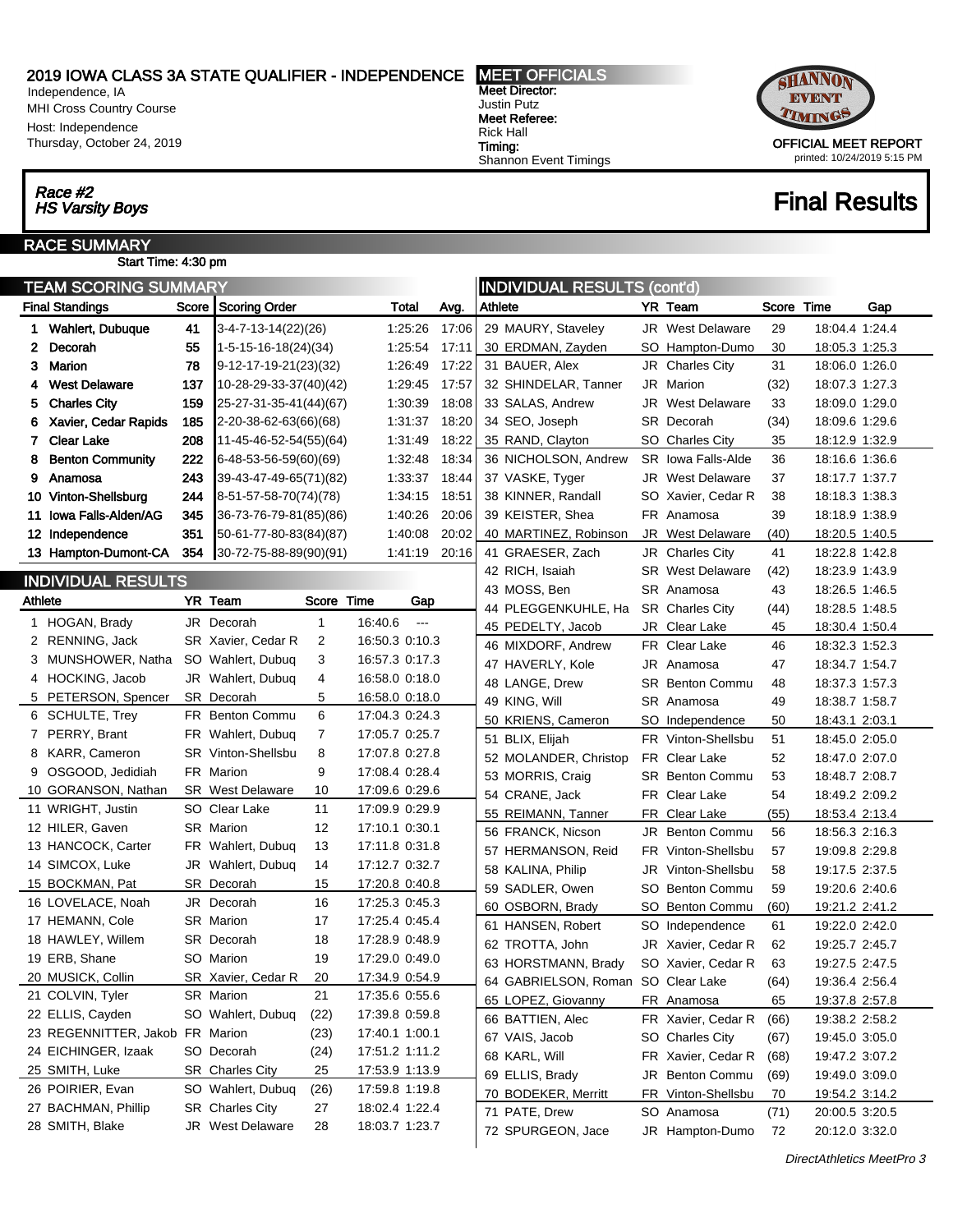Independence, IA MHI Cross Country Course Host: Independence Thursday, October 24, 2019

# Race #2<br>HS Varsity Boys

#### RACE SUMMARY Start Time: 4:30 pm

| TEAM SCORING SUMMARY |                                 |         |                                  |                |               |       |         | <b>INDIVIDUAL RESULTS (cont'd)</b> |     |                         |       |                |     |  |  |
|----------------------|---------------------------------|---------|----------------------------------|----------------|---------------|-------|---------|------------------------------------|-----|-------------------------|-------|----------------|-----|--|--|
|                      | <b>Final Standings</b>          | Score   | Scoring Order                    |                | Total         | Avg.  | Athlete |                                    |     | YR Team                 | Score | Time           | Gap |  |  |
|                      | 1 Wahlert, Dubuque              | 41      | 3-4-7-13-14(22)(26)              |                | 1.25.26       | 17:06 |         | 29 MAURY, Staveley                 |     | <b>JR</b> West Delaware | 29    | 18:04.4 1:24.4 |     |  |  |
| 2                    | Decorah                         | 55      | $1-5-15-16-18(24)(34)$           |                | 1:25:54       | 17:11 |         | 30 ERDMAN, Zayden                  |     | SO Hampton-Dumo         | 30    | 18:05.3 1:25.3 |     |  |  |
| 3                    | <b>Marion</b>                   | 78      | 9-12-17-19-21(23)(32)            |                | 1.26.49       | 17:22 |         | 31 BAUER, Alex                     |     | JR Charles City         | 31    | 18:06.0 1:26.0 |     |  |  |
| 4                    | <b>West Delaware</b>            | 137     | 10-28-29-33-37(40)(42)           |                | 1.29.45       | 17:57 |         | 32 SHINDELAR, Tanner               |     | JR Marion               | (32)  | 18:07.3 1:27.3 |     |  |  |
| 5                    | <b>Charles City</b>             | 159     | 25-27-31-35-41(44)(67)           |                | 1.30.39       | 18:08 |         | 33 SALAS, Andrew                   |     | <b>JR</b> West Delaware | 33    | 18:09.0 1:29.0 |     |  |  |
| 6                    | Xavier, Cedar Rapids            | 185     | 2-20-38-62-63(66)(68)            |                | 1:31:37       | 18:20 |         | 34 SEO, Joseph                     |     | SR Decorah              | (34)  | 18:09.6 1:29.6 |     |  |  |
| 7.                   | <b>Clear Lake</b>               | 208     | 11-45-46-52-54(55)(64)           |                | 1.31.49       | 18:22 |         | 35 RAND, Clayton                   |     | SO Charles City         | 35    | 18:12.9 1:32.9 |     |  |  |
| 8                    | <b>Benton Community</b>         | 222     | 6-48-53-56-59(60)(69)            |                | 1.32.48       | 18:34 |         | 36 NICHOLSON, Andrew               |     | SR Iowa Falls-Alde      | 36    | 18:16.6 1:36.6 |     |  |  |
| 9                    | Anamosa                         | 243     | 39-43-47-49-65(71)(82)           |                | 1:33:37       | 18:44 |         | 37 VASKE, Tyger                    |     | <b>JR</b> West Delaware | 37    | 18:17.7 1:37.7 |     |  |  |
|                      | 10 Vinton-Shellsburg            | 244     | 8-51-57-58-70(74)(78)            |                | 1:34:15       | 18:51 |         | 38 KINNER, Randall                 |     | SO Xavier, Cedar R      | 38    | 18:18.3 1:38.3 |     |  |  |
|                      | 11 Iowa Falls-Alden/AG          | 345     | 36-73-76-79-81(85)(86)           |                | 1.40.26       | 20:06 |         | 39 KEISTER, Shea                   |     | FR Anamosa              | 39    | 18:18.9 1:38.9 |     |  |  |
|                      | 12 Independence                 | 351     | 50-61-77-80-83(84)(87)           |                | 1.40.08       | 20:02 |         | 40 MARTINEZ, Robinson              |     | JR West Delaware        | (40)  | 18:20.5 1:40.5 |     |  |  |
|                      | 13 Hampton-Dumont-CA            | 354     | $30 - 72 - 75 - 88 - 89(90)(91)$ |                | 1:41:19       | 20:16 |         | 41 GRAESER, Zach                   |     | JR Charles City         | 41    | 18:22.8 1:42.8 |     |  |  |
|                      |                                 |         |                                  |                |               |       |         | 42 RICH, Isaiah                    |     | <b>SR</b> West Delaware | (42)  | 18:23.9 1:43.9 |     |  |  |
|                      | INDIVIDUAL RESULTS              |         |                                  |                |               |       |         | 43 MOSS, Ben                       |     | SR Anamosa              | 43    | 18:26.5 1:46.5 |     |  |  |
| <b>Athlete</b>       |                                 | YR Team | Score                            | Time           | Gap           |       |         | 44 PLEGGENKUHLE, Ha                |     | <b>SR</b> Charles City  | (44)  | 18:28.5 1:48.5 |     |  |  |
|                      | 1 HOGAN, Brady                  |         | $\mathbf{1}$<br>JR Decorah       | 16:40.6        | $\sim$ $\sim$ |       |         | 45 PEDELTY, Jacob                  |     | JR Clear Lake           | 45    | 18:30.4 1:50.4 |     |  |  |
|                      | 2 RENNING, Jack                 |         | 2<br>SR Xavier, Cedar R          | 16:50.3 0:10.3 |               |       |         | 46 MIXDORF, Andrew                 |     | FR Clear Lake           | 46    | 18:32.3 1:52.3 |     |  |  |
|                      | 3 MUNSHOWER, Natha              |         | 3<br>SO Wahlert, Dubuq           | 16:57.3 0:17.3 |               |       |         | 47 HAVERLY, Kole                   |     | JR Anamosa              | 47    | 18:34.7 1:54.7 |     |  |  |
|                      | 4 HOCKING, Jacob                |         | JR Wahlert, Dubuq<br>4           | 16:58.0 0:18.0 |               |       |         | 48 LANGE, Drew                     |     | <b>SR</b> Benton Commu  | 48    | 18:37.3 1:57.3 |     |  |  |
|                      | 5 PETERSON, Spencer             |         | SR Decorah<br>5                  | 16:58.0 0:18.0 |               |       |         | 49 KING, Will                      |     | SR Anamosa              | 49    | 18:38.7 1:58.7 |     |  |  |
|                      | 6 SCHULTE, Trey                 |         | 6<br>FR Benton Commu             | 17:04.3 0:24.3 |               |       |         | 50 KRIENS, Cameron                 |     | SO Independence         | 50    | 18:43.1 2:03.1 |     |  |  |
|                      | 7 PERRY, Brant                  |         | 7<br>FR Wahlert, Dubuq           | 17:05.7 0:25.7 |               |       |         | 51 BLIX, Elijah                    |     | FR Vinton-Shellsbu      | 51    | 18:45.0 2:05.0 |     |  |  |
|                      | 8 KARR, Cameron                 |         | SR Vinton-Shellsbu<br>8          | 17:07.8 0:27.8 |               |       |         | 52 MOLANDER, Christop              |     | FR Clear Lake           | 52    | 18:47.0 2:07.0 |     |  |  |
|                      | 9 OSGOOD, Jedidiah              |         | FR Marion<br>9                   | 17:08.4 0:28.4 |               |       |         | 53 MORRIS, Craig                   |     | <b>SR</b> Benton Commu  | 53    | 18:48.7 2:08.7 |     |  |  |
|                      | 10 GORANSON, Nathan             |         | <b>SR</b> West Delaware<br>10    | 17:09.6 0:29.6 |               |       |         | 54 CRANE, Jack                     |     | FR Clear Lake           | 54    | 18:49.2 2:09.2 |     |  |  |
|                      | 11 WRIGHT, Justin               |         | 11<br>SO Clear Lake              | 17:09.9 0:29.9 |               |       |         | 55 REIMANN, Tanner                 |     | FR Clear Lake           | (55)  | 18:53.4 2:13.4 |     |  |  |
|                      | 12 HILER, Gaven                 |         | SR Marion<br>12                  | 17:10.1 0:30.1 |               |       |         | 56 FRANCK, Nicson                  |     | JR Benton Commu         | 56    | 18:56.3 2:16.3 |     |  |  |
|                      | 13 HANCOCK, Carter              |         | 13<br>FR Wahlert, Dubuq          | 17:11.8 0:31.8 |               |       |         | 57 HERMANSON, Reid                 |     | FR Vinton-Shellsbu      | 57    | 19:09.8 2:29.8 |     |  |  |
|                      | 14 SIMCOX, Luke                 |         | 14<br>JR Wahlert, Dubuq          | 17:12.7 0:32.7 |               |       |         | 58 KALINA, Philip                  |     | JR Vinton-Shellsbu      | 58    | 19:17.5 2:37.5 |     |  |  |
|                      | 15 BOCKMAN, Pat                 |         | 15<br>SR Decorah                 | 17:20.8 0:40.8 |               |       |         | 59 SADLER, Owen                    |     | SO Benton Commu         | 59    | 19:20.6 2:40.6 |     |  |  |
|                      | 16 LOVELACE, Noah               |         | 16<br>JR Decorah                 | 17:25.3 0:45.3 |               |       |         | 60 OSBORN, Brady                   |     | SO Benton Commu         | (60)  | 19:21.2 2:41.2 |     |  |  |
|                      | 17 HEMANN, Cole                 |         | 17<br><b>SR</b> Marion           | 17:25.4 0:45.4 |               |       |         | 61 HANSEN, Robert                  | SO. | Independence            | 61    | 19:22.0 2:42.0 |     |  |  |
|                      | 18 HAWLEY, Willem               |         | 18<br>SR Decorah                 | 17:28.9 0:48.9 |               |       |         | 62 TROTTA, John                    |     | JR Xavier, Cedar R      | 62    | 19:25.7 2:45.7 |     |  |  |
|                      | 19 ERB, Shane                   |         | 19<br>SO Marion                  | 17:29.0 0:49.0 |               |       |         | 63 HORSTMANN, Brady                |     | SO Xavier, Cedar R      | 63    | 19:27.5 2:47.5 |     |  |  |
|                      | 20 MUSICK, Collin               |         | SR Xavier, Cedar R<br>20         | 17:34.9 0.54.9 |               |       |         | 64 GABRIELSON, Roman SO Clear Lake |     |                         | (64)  | 19:36.4 2:56.4 |     |  |  |
|                      | 21 COLVIN, Tyler                |         | 21<br><b>SR</b> Marion           | 17:35.6 0:55.6 |               |       |         | 65 LOPEZ, Giovanny                 |     | FR Anamosa              | 65    | 19:37.8 2:57.8 |     |  |  |
|                      | 22 ELLIS, Cayden                |         | SO Wahlert, Dubuq<br>(22)        | 17:39.8 0:59.8 |               |       |         | 66 BATTIEN, Alec                   |     | FR Xavier, Cedar R      | (66)  | 19:38.2 2:58.2 |     |  |  |
|                      | 23 REGENNITTER, Jakob FR Marion |         | (23)                             | 17:40.1 1:00.1 |               |       |         | 67 VAIS, Jacob                     |     | SO Charles City         | (67)  | 19:45.0 3:05.0 |     |  |  |
|                      | 24 EICHINGER, Izaak             |         | SO Decorah<br>(24)               | 17:51.2 1:11.2 |               |       |         | 68 KARL, Will                      |     | FR Xavier, Cedar R      | (68)  | 19:47.2 3:07.2 |     |  |  |
|                      | 25 SMITH, Luke                  |         | 25<br><b>SR</b> Charles City     | 17:53.9 1:13.9 |               |       |         | 69 ELLIS, Brady                    |     | JR Benton Commu         | (69)  | 19:49.0 3:09.0 |     |  |  |
|                      | 26 POIRIER, Evan                |         | SO Wahlert, Dubuq<br>(26)        | 17:59.8 1:19.8 |               |       |         | 70 BODEKER, Merritt                |     | FR Vinton-Shellsbu      | 70    | 19:54.2 3:14.2 |     |  |  |
|                      | 27 BACHMAN, Phillip             |         | 27<br><b>SR</b> Charles City     | 18:02.4 1:22.4 |               |       |         | 71 PATE, Drew                      |     | SO Anamosa              | (71)  | 20:00.5 3:20.5 |     |  |  |
|                      | 28 SMITH, Blake                 |         | JR West Delaware<br>28           | 18:03.7 1:23.7 |               |       |         | 72 SPURGEON, Jace                  |     | JR Hampton-Dumo         | 72    | 20:12.0 3:32.0 |     |  |  |
|                      |                                 |         |                                  |                |               |       |         |                                    |     |                         |       |                |     |  |  |

Meet Director: Justin Putz Meet Referee: Rick Hall Timing: Shannon Event Timings

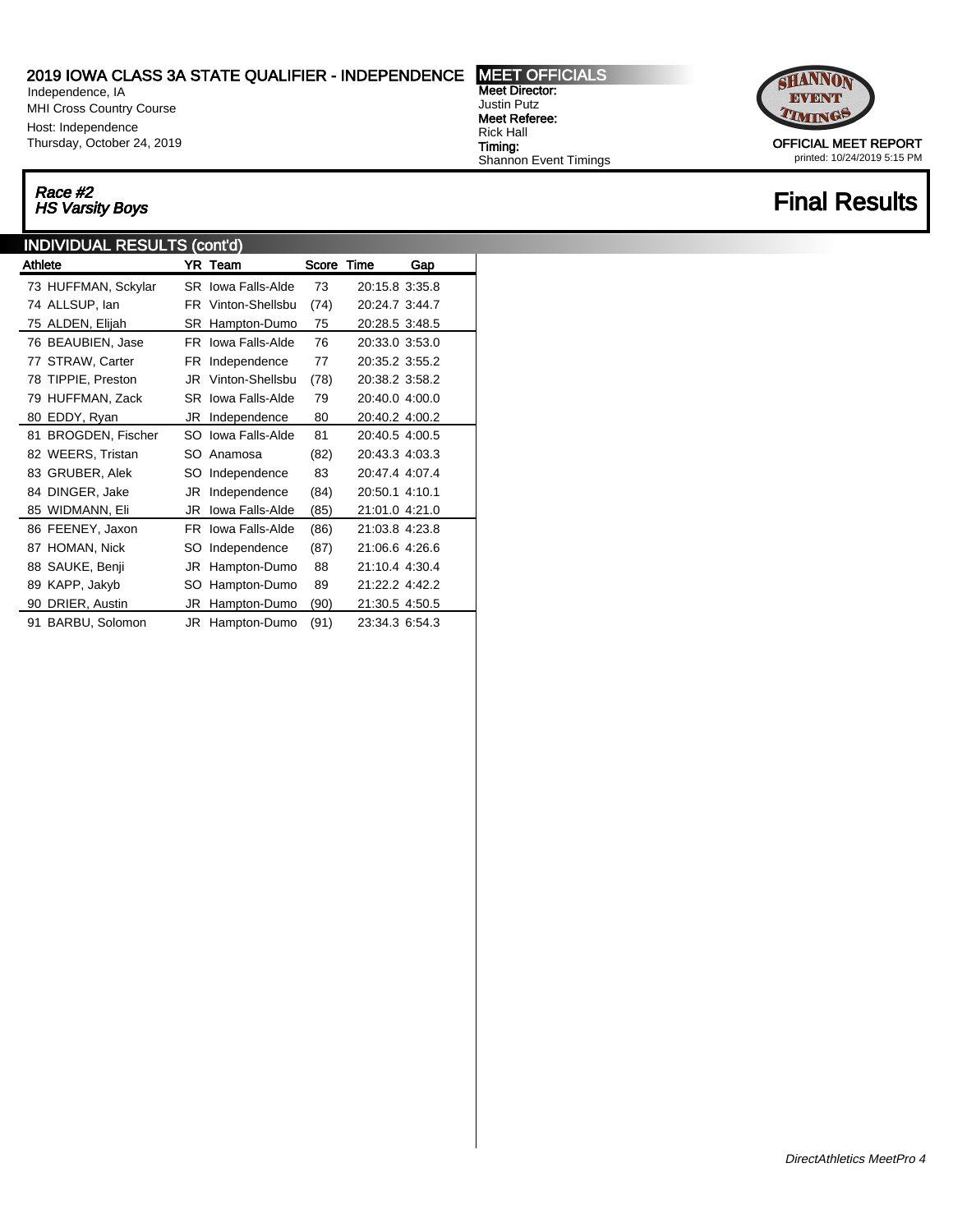Independence, IA MHI Cross Country Course Host: Independence Thursday, October 24, 2019

## Race #2<br>HS Varsity Boys

### INDIVIDUAL RESULTS (cont'd)

| Athlete             |    | YR Team            | Score Time |                | Gap |  |
|---------------------|----|--------------------|------------|----------------|-----|--|
| 73 HUFFMAN, Sckylar |    | SR Iowa Falls-Alde | 73         | 20:15.8 3:35.8 |     |  |
| 74 ALLSUP, lan      |    | FR Vinton-Shellsbu | (74)       | 20:24.7 3:44.7 |     |  |
| 75 ALDEN, Elijah    |    | SR Hampton-Dumo    | 75         | 20:28.5 3:48.5 |     |  |
| 76 BEAUBIEN, Jase   |    | FR lowa Falls-Alde | 76         | 20:33.0 3:53.0 |     |  |
| 77 STRAW, Carter    |    | FR Independence    | 77         | 20:35.2 3:55.2 |     |  |
| 78 TIPPIE, Preston  |    | JR Vinton-Shellsbu | (78)       | 20:38.2 3:58.2 |     |  |
| 79 HUFFMAN, Zack    |    | SR Iowa Falls-Alde | 79         | 20:40.0 4:00.0 |     |  |
| 80 EDDY, Ryan       |    | JR Independence    | 80         | 20:40.2 4:00.2 |     |  |
| 81 BROGDEN, Fischer |    | SO Iowa Falls-Alde | 81         | 20:40.5 4:00.5 |     |  |
| 82 WEERS, Tristan   |    | SO Anamosa         | (82)       | 20:43.3 4:03.3 |     |  |
| 83 GRUBER, Alek     | SO | Independence       | 83         | 20:47.4 4:07.4 |     |  |
| 84 DINGER, Jake     | JR | Independence       | (84)       | 20:50.1 4:10.1 |     |  |
| 85 WIDMANN, Eli     | JR | Iowa Falls-Alde    | (85)       | 21:01.0 4:21.0 |     |  |
| 86 FEENEY, Jaxon    |    | FR Iowa Falls-Alde | (86)       | 21:03.8 4:23.8 |     |  |
| 87 HOMAN, Nick      | SO | Independence       | (87)       | 21:06.6 4:26.6 |     |  |
| 88 SAUKE, Benji     | JR | Hampton-Dumo       | 88         | 21:10.4 4:30.4 |     |  |
| 89 KAPP, Jakyb      | SO | Hampton-Dumo       | 89         | 21:22.2 4:42.2 |     |  |
| 90 DRIER, Austin    | JR | Hampton-Dumo       | (90)       | 21:30.5 4:50.5 |     |  |
| 91 BARBU, Solomon   | JR | Hampton-Dumo       | (91)       | 23:34.3 6:54.3 |     |  |

Meet Director: Justin Putz Meet Referee: Rick Hall Timing: Shannon Event Timings



printed: 10/24/2019 5:15 PM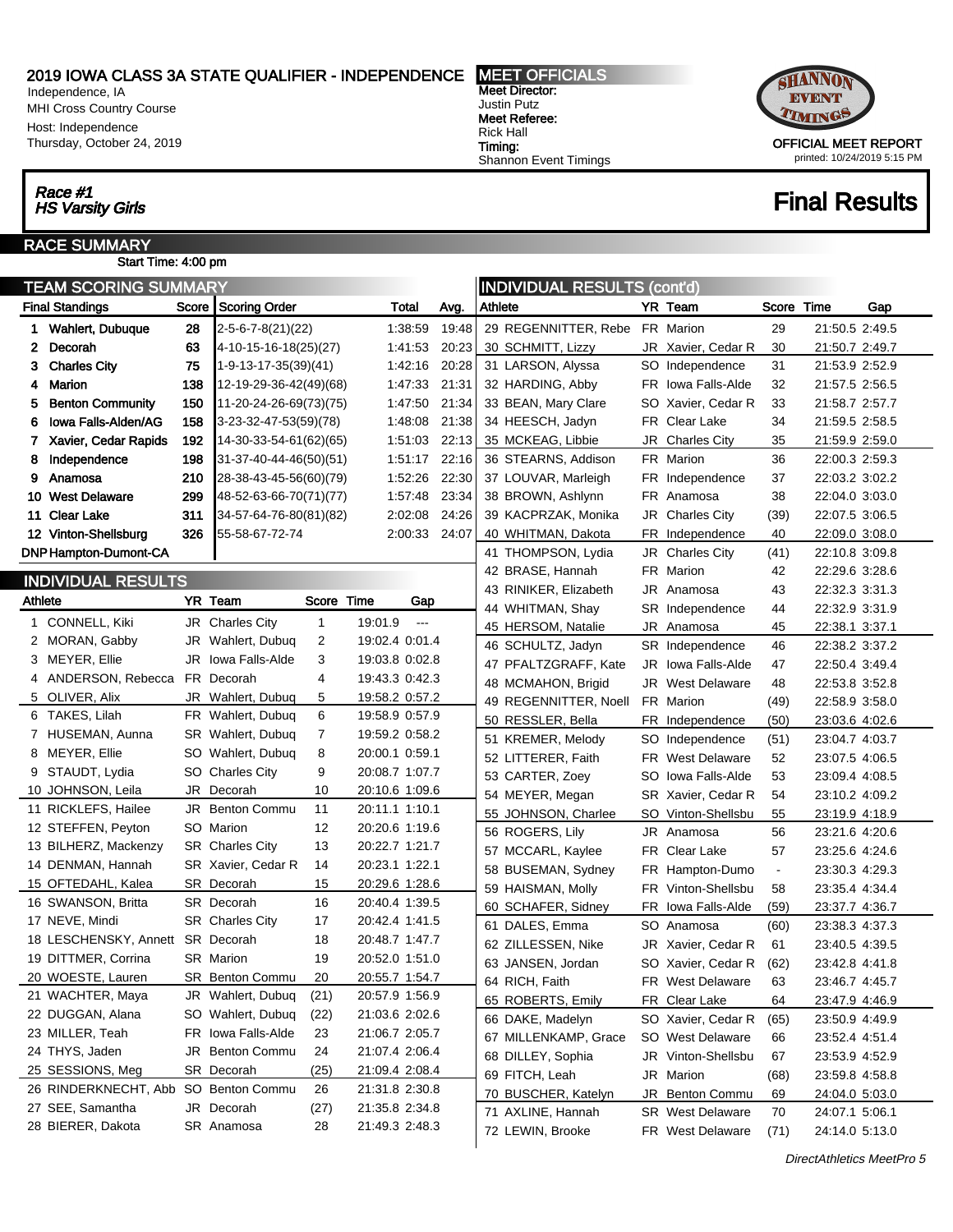Independence, IA MHI Cross Country Course Host: Independence Thursday, October 24, 2019

# Race #1<br>HS Varsity Girls

J.

#### RACE SUMMARY Start Time: 4:00 pm

|         | <b>TEAM SCORING SUMMARY</b><br><b>INDIVIDUAL RESULTS (cont'd)</b> |         |                             |              |                |                      |       |         |                       |    |                         |                |                |     |
|---------|-------------------------------------------------------------------|---------|-----------------------------|--------------|----------------|----------------------|-------|---------|-----------------------|----|-------------------------|----------------|----------------|-----|
|         | <b>Final Standings</b>                                            | Score   | Scoring Order               |              | Total          |                      | Avg.  | Athlete |                       |    | YR Team                 | Score          | Time           | Gap |
|         | 1 Wahlert, Dubuque                                                | 28      | $2 - 5 - 6 - 7 - 8(21)(22)$ |              |                | 1:38:59              | 19:48 |         | 29 REGENNITTER, Rebe  |    | FR Marion               | 29             | 21:50.5 2:49.5 |     |
| 2       | Decorah                                                           | 63      | 4-10-15-16-18(25)(27)       |              |                | 1:41:53              | 20:23 |         | 30 SCHMITT, Lizzy     |    | JR Xavier, Cedar R      | 30             | 21:50.7 2:49.7 |     |
|         | 3 Charles City                                                    | 75      | $1-9-13-17-35(39)(41)$      |              |                | 1:42:16              | 20:28 |         | 31 LARSON, Alyssa     |    | SO Independence         | 31             | 21:53.9 2:52.9 |     |
|         | 4 Marion                                                          | 138     | 12-19-29-36-42(49)(68)      |              |                | 1:47:33              | 21:31 |         | 32 HARDING, Abby      |    | FR Iowa Falls-Alde      | 32             | 21:57.5 2:56.5 |     |
| 5.      | <b>Benton Community</b>                                           | 150     | 11-20-24-26-69(73)(75)      |              |                | 1:47:50              | 21:34 |         | 33 BEAN, Mary Clare   |    | SO Xavier, Cedar R      | 33             | 21:58.7 2:57.7 |     |
| 6       | Iowa Falls-Alden/AG                                               | 158     | 3-23-32-47-53(59)(78)       |              |                | 1:48:08              | 21:38 |         | 34 HEESCH, Jadyn      |    | FR Clear Lake           | 34             | 21:59.5 2:58.5 |     |
|         | 7 Xavier, Cedar Rapids                                            | 192     | 14-30-33-54-61(62)(65)      |              |                | 1:51:03              | 22:13 |         | 35 MCKEAG, Libbie     | JR | <b>Charles City</b>     | 35             | 21:59.9 2:59.0 |     |
| 8       | Independence                                                      | 198     | 31-37-40-44-46(50)(51)      |              |                | 1:51:17              | 22:16 |         | 36 STEARNS, Addison   |    | FR Marion               | 36             | 22:00.3 2:59.3 |     |
| 9.      | Anamosa                                                           | 210     | 28-38-43-45-56(60)(79)      |              |                | 1:52:26              | 22:30 |         | 37 LOUVAR, Marleigh   |    | FR Independence         | 37             | 22:03.2 3:02.2 |     |
|         | 10 West Delaware                                                  | 299     | 48-52-63-66-70(71)(77)      |              |                | 1:57:48              | 23:34 |         | 38 BROWN, Ashlynn     |    | FR Anamosa              | 38             | 22:04.0 3:03.0 |     |
|         | 11 Clear Lake                                                     | 311     | 34-57-64-76-80(81)(82)      |              |                | 2:02:08              | 24:26 |         | 39 KACPRZAK, Monika   |    | JR Charles City         | (39)           | 22:07.5 3:06.5 |     |
|         | 12 Vinton-Shellsburg                                              | 326     | 55-58-67-72-74              |              |                | 2:00:33              | 24:07 |         | 40 WHITMAN, Dakota    |    | FR Independence         | 40             | 22:09.0 3:08.0 |     |
|         | <b>DNP Hampton-Dumont-CA</b>                                      |         |                             |              |                |                      |       |         | 41 THOMPSON, Lydia    | JR | Charles City            | (41)           | 22:10.8 3:09.8 |     |
|         |                                                                   |         |                             |              |                |                      |       |         | 42 BRASE, Hannah      |    | FR Marion               | 42             | 22:29.6 3:28.6 |     |
|         | <b>INDIVIDUAL RESULTS</b>                                         |         |                             |              |                |                      |       |         | 43 RINIKER, Elizabeth |    | JR Anamosa              | 43             | 22:32.3 3:31.3 |     |
| Athlete |                                                                   | YR Team |                             | Score Time   |                | Gap                  |       |         | 44 WHITMAN, Shay      |    | SR Independence         | 44             | 22:32.9 3:31.9 |     |
|         | 1 CONNELL, Kiki                                                   |         | JR Charles City             | $\mathbf{1}$ | 19:01.9        | $\scriptstyle\cdots$ |       |         | 45 HERSOM, Natalie    |    | JR Anamosa              | 45             | 22:38.1 3:37.1 |     |
|         | 2 MORAN, Gabby                                                    |         | JR Wahlert, Dubuq           | 2            | 19:02.4 0:01.4 |                      |       |         | 46 SCHULTZ, Jadyn     |    | SR Independence         | 46             | 22:38.2 3:37.2 |     |
|         | 3 MEYER, Ellie                                                    |         | JR lowa Falls-Alde          | 3            | 19:03.8 0:02.8 |                      |       |         | 47 PFALTZGRAFF, Kate  |    | JR lowa Falls-Alde      | 47             | 22:50.4 3:49.4 |     |
|         | 4 ANDERSON, Rebecca FR Decorah                                    |         |                             | 4            | 19:43.3 0:42.3 |                      |       |         | 48 MCMAHON, Brigid    |    | <b>JR</b> West Delaware | 48             | 22:53.8 3:52.8 |     |
|         | 5 OLIVER, Alix                                                    |         | JR Wahlert, Dubuq           | 5            | 19:58.2 0:57.2 |                      |       |         | 49 REGENNITTER, Noell |    | FR Marion               | (49)           | 22:58.9 3:58.0 |     |
|         | 6 TAKES, Lilah                                                    |         | FR Wahlert, Dubuq           | 6            | 19:58.9 0:57.9 |                      |       |         | 50 RESSLER, Bella     |    | FR Independence         | (50)           | 23:03.6 4:02.6 |     |
|         | 7 HUSEMAN, Aunna                                                  |         | SR Wahlert, Dubuq           | 7            | 19:59.2 0:58.2 |                      |       |         | 51 KREMER, Melody     |    | SO Independence         | (51)           | 23:04.7 4:03.7 |     |
|         | 8 MEYER, Ellie                                                    |         | SO Wahlert, Dubuq           | 8            | 20:00.1 0:59.1 |                      |       |         | 52 LITTERER, Faith    |    | <b>FR</b> West Delaware | 52             | 23:07.5 4:06.5 |     |
|         | 9 STAUDT, Lydia                                                   |         | SO Charles City             | 9            | 20:08.7 1:07.7 |                      |       |         | 53 CARTER, Zoey       | SO | Iowa Falls-Alde         | 53             | 23:09.4 4:08.5 |     |
|         | 10 JOHNSON, Leila                                                 |         | JR Decorah                  | 10           | 20:10.6 1:09.6 |                      |       |         | 54 MEYER, Megan       |    | SR Xavier, Cedar R      | 54             | 23:10.2 4:09.2 |     |
|         | 11 RICKLEFS, Hailee                                               |         | JR Benton Commu             | 11           | 20:11.1 1:10.1 |                      |       |         | 55 JOHNSON, Charlee   |    | SO Vinton-Shellsbu      | 55             | 23:19.9 4:18.9 |     |
|         | 12 STEFFEN, Peyton                                                |         | SO Marion                   | 12           | 20:20.6 1:19.6 |                      |       |         | 56 ROGERS, Lily       |    | JR Anamosa              | 56             | 23:21.6 4:20.6 |     |
|         | 13 BILHERZ, Mackenzy                                              |         | <b>SR</b> Charles City      | 13           | 20:22.7 1:21.7 |                      |       |         | 57 MCCARL, Kaylee     |    | FR Clear Lake           | 57             | 23:25.6 4:24.6 |     |
|         | 14 DENMAN, Hannah                                                 |         | SR Xavier, Cedar R          | 14           | 20:23.1 1:22.1 |                      |       |         | 58 BUSEMAN, Sydney    |    | FR Hampton-Dumo         | $\blacksquare$ | 23:30.3 4:29.3 |     |
|         | 15 OFTEDAHL, Kalea                                                |         | SR Decorah                  | 15           | 20:29.6 1:28.6 |                      |       |         | 59 HAISMAN, Molly     |    | FR Vinton-Shellsbu      | 58             | 23:35.4 4:34.4 |     |
|         | 16 SWANSON, Britta                                                |         | SR Decorah                  | 16           | 20:40.4 1:39.5 |                      |       |         | 60 SCHAFER, Sidney    |    | FR lowa Falls-Alde      | (59)           | 23:37.7 4:36.7 |     |
|         | 17 NEVE, Mindi                                                    |         | <b>SR</b> Charles City      | 17           | 20:42.4 1:41.5 |                      |       |         | 61 DALES, Emma        |    | SO Anamosa              | (60)           | 23:38.3 4:37.3 |     |
|         | 18 LESCHENSKY, Annett SR Decorah                                  |         |                             | 18           | 20:48.7 1:47.7 |                      |       |         | 62 ZILLESSEN, Nike    | JR | Xavier, Cedar R         | 61             | 23:40.5 4:39.5 |     |
|         | 19 DITTMER, Corrina                                               |         | <b>SR</b> Marion            | 19           | 20:52.0 1:51.0 |                      |       |         | 63 JANSEN, Jordan     |    | SO Xavier, Cedar R      | (62)           | 23:42.8 4:41.8 |     |
|         | 20 WOESTE, Lauren                                                 |         | SR Benton Commu             | 20           | 20:55.7 1:54.7 |                      |       |         | 64 RICH, Faith        |    | FR West Delaware        | 63             | 23:46.7 4:45.7 |     |
|         | 21 WACHTER, Maya                                                  |         | JR Wahlert, Dubuq           | (21)         | 20:57.9 1:56.9 |                      |       |         | 65 ROBERTS, Emily     |    | FR Clear Lake           | 64             | 23:47.9 4:46.9 |     |
|         | 22 DUGGAN, Alana                                                  |         | SO Wahlert, Dubuq           | (22)         | 21:03.6 2:02.6 |                      |       |         | 66 DAKE, Madelyn      |    | SO Xavier, Cedar R      | (65)           | 23:50.9 4:49.9 |     |
|         | 23 MILLER, Teah                                                   |         | FR Iowa Falls-Alde          | 23           | 21:06.7 2:05.7 |                      |       |         | 67 MILLENKAMP, Grace  |    | SO West Delaware        | 66             | 23:52.4 4:51.4 |     |
|         | 24 THYS, Jaden                                                    |         | JR Benton Commu             | 24           | 21:07.4 2:06.4 |                      |       |         | 68 DILLEY, Sophia     |    | JR Vinton-Shellsbu      | 67             | 23:53.9 4:52.9 |     |
|         | 25 SESSIONS, Meg                                                  |         | SR Decorah                  | (25)         | 21:09.4 2:08.4 |                      |       |         | 69 FITCH, Leah        | JR | Marion                  | (68)           | 23:59.8 4:58.8 |     |
|         | 26 RINDERKNECHT, Abb SO Benton Commu                              |         |                             | 26           | 21:31.8 2:30.8 |                      |       |         | 70 BUSCHER, Katelyn   | JR | <b>Benton Commu</b>     | 69             | 24:04.0 5:03.0 |     |
|         | 27 SEE, Samantha                                                  |         | JR Decorah                  | (27)         | 21:35.8 2:34.8 |                      |       |         | 71 AXLINE, Hannah     |    | <b>SR</b> West Delaware | 70             | 24:07.1 5:06.1 |     |
|         | 28 BIERER, Dakota                                                 |         | SR Anamosa                  | 28           | 21:49.3 2:48.3 |                      |       |         | 72 LEWIN, Brooke      |    | FR West Delaware        | (71)           | 24:14.0 5:13.0 |     |
|         |                                                                   |         |                             |              |                |                      |       |         |                       |    |                         |                |                |     |

Meet Director: Justin Putz Meet Referee: Rick Hall Timing: Shannon Event Timings



### **Final Results**

DirectAthletics MeetPro 5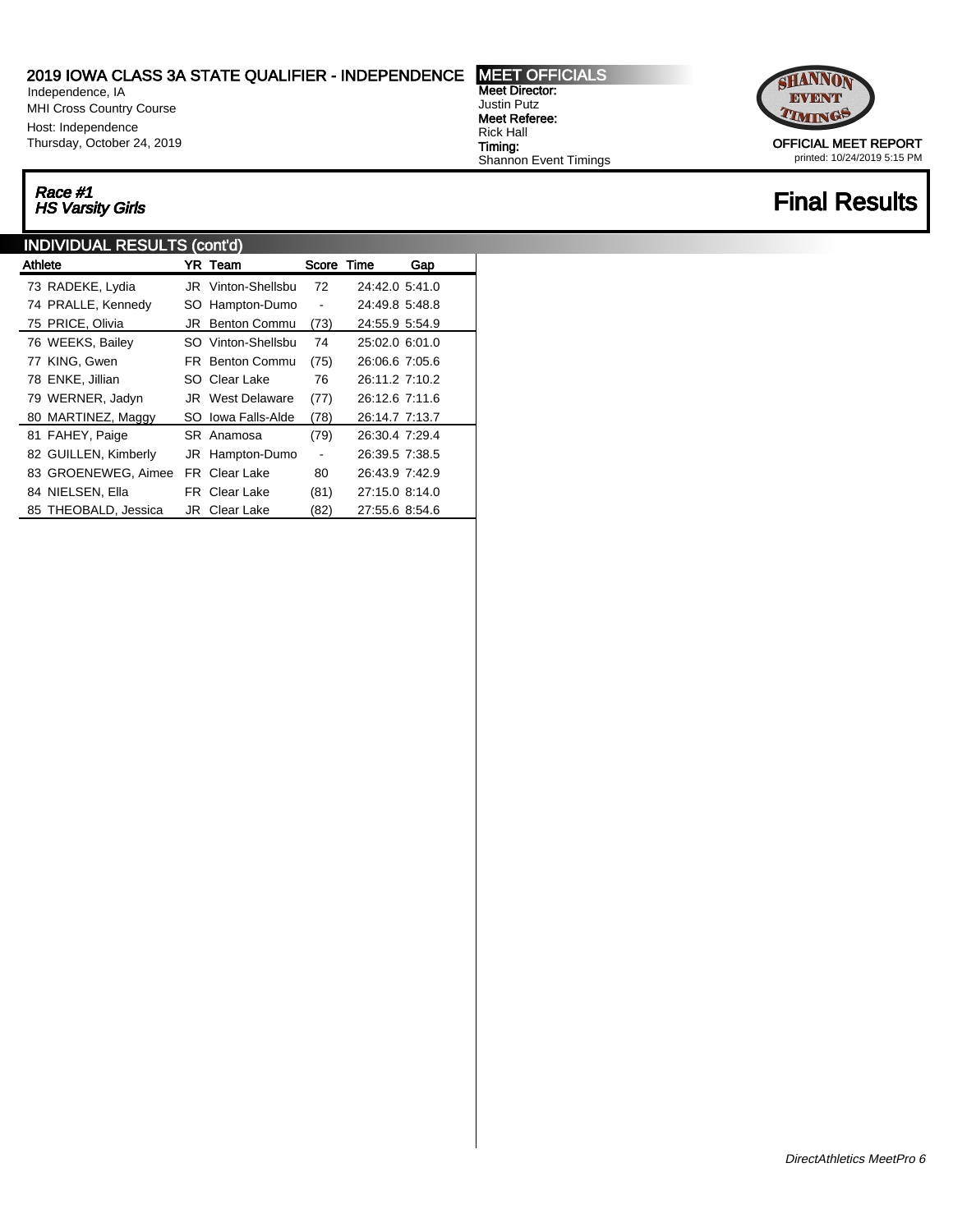Independence, IA MHI Cross Country Course Host: Independence Thursday, October 24, 2019

# Race #1

### INDIVIDUAL RESULTS (cont'd)

| Athlete              |    | YR Team                 | Score Time               |                | Gap |  |
|----------------------|----|-------------------------|--------------------------|----------------|-----|--|
| 73 RADEKE, Lydia     |    | JR Vinton-Shellsbu      | 72                       | 24:42.0 5:41.0 |     |  |
| 74 PRALLE, Kennedy   |    | SO Hampton-Dumo         | $\overline{\phantom{a}}$ | 24:49.8 5:48.8 |     |  |
| 75 PRICE, Olivia     | JR | <b>Benton Commu</b>     | (73)                     | 24:55.9 5:54.9 |     |  |
| 76 WEEKS, Bailey     |    | SO Vinton-Shellsbu      | 74                       | 25:02.0 6:01.0 |     |  |
| 77 KING, Gwen        |    | <b>FR</b> Benton Commu  | (75)                     | 26:06.6 7:05.6 |     |  |
| 78 ENKE, Jillian     |    | SO Clear Lake           | 76                       | 26:11.2 7:10.2 |     |  |
| 79 WERNER, Jadyn     |    | <b>JR</b> West Delaware | (77)                     | 26:12.6 7:11.6 |     |  |
| 80 MARTINEZ, Maggy   |    | SO Iowa Falls-Alde      | (78)                     | 26:14.7 7:13.7 |     |  |
| 81 FAHEY, Paige      |    | SR Anamosa              | (79)                     | 26:30.4 7:29.4 |     |  |
| 82 GUILLEN, Kimberly |    | JR Hampton-Dumo         | $\overline{\phantom{a}}$ | 26:39.5 7:38.5 |     |  |
| 83 GROENEWEG, Aimee  |    | <b>FR</b> Clear Lake    | 80                       | 26:43.9 7:42.9 |     |  |
| 84 NIELSEN, Ella     |    | <b>FR</b> Clear Lake    | (81)                     | 27:15.0 8:14.0 |     |  |
| 85 THEOBALD, Jessica |    | <b>JR</b> Clear Lake    | (82)                     | 27:55.6 8:54.6 |     |  |

Meet Director: Justin Putz Meet Referee: Rick Hall Timing: Shannon Event Timings



printed: 10/24/2019 5:15 PM

## Race #1<br>HS Varsity Girls Final Results Final Results Final Results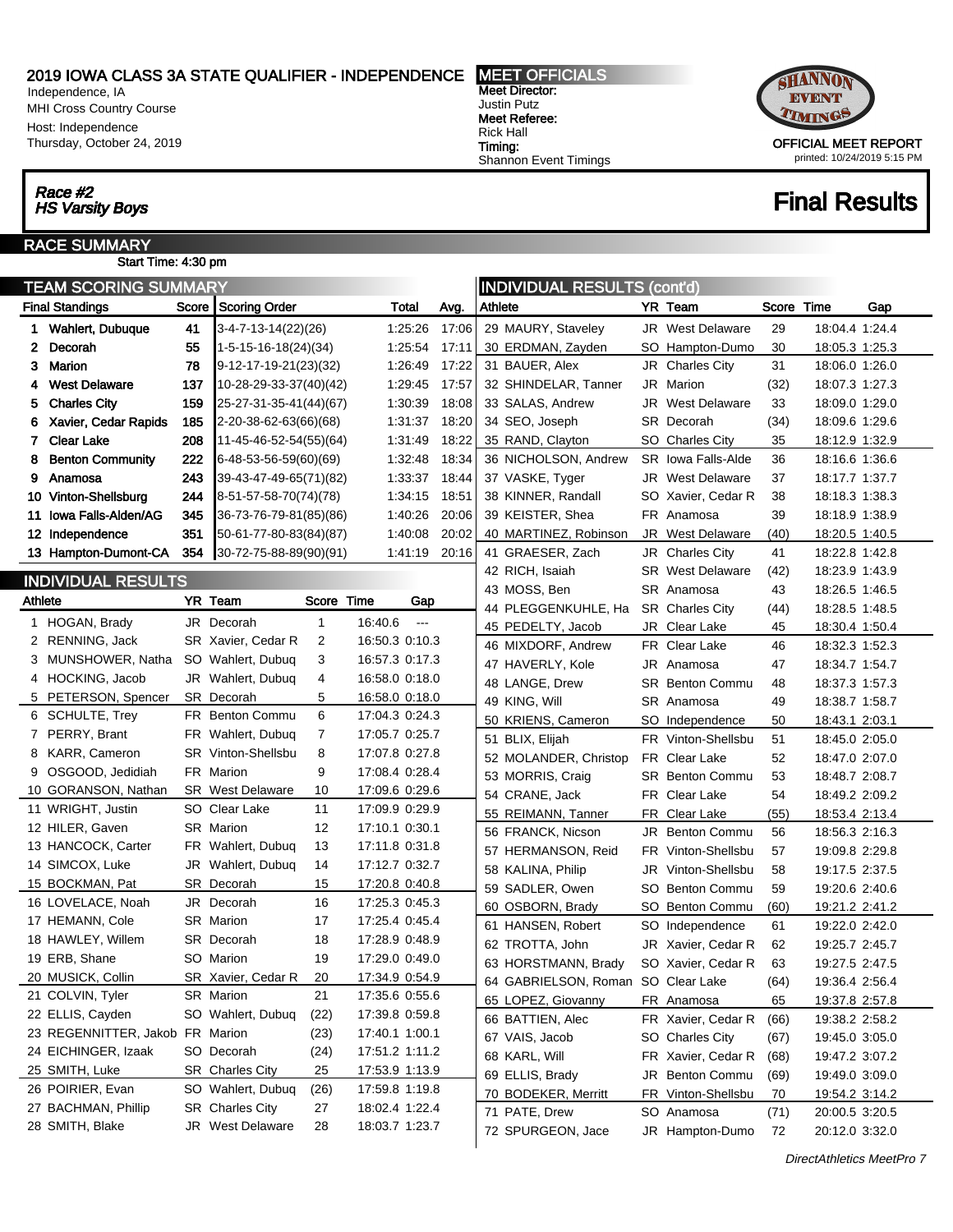Independence, IA MHI Cross Country Course Host: Independence Thursday, October 24, 2019

## Race #2

#### RACE SUMMARY Start Time: 4:30 pm

| <b>TEAM SCORING SUMMARY</b><br><b>INDIVIDUAL RESULTS (cont'd)</b> |                                 |         |                                |               |                                 |       |         |                                    |     |                         |       |                |     |
|-------------------------------------------------------------------|---------------------------------|---------|--------------------------------|---------------|---------------------------------|-------|---------|------------------------------------|-----|-------------------------|-------|----------------|-----|
|                                                                   | <b>Final Standings</b>          |         | Score Scoring Order            |               | Total                           | Avg.  | Athlete |                                    |     | YR Team                 | Score | Time           | Gap |
|                                                                   | 1 Wahlert, Dubuque              | 41      | 3-4-7-13-14(22)(26)            |               | 1.25.26                         | 17:06 |         | 29 MAURY, Staveley                 |     | <b>JR</b> West Delaware | 29    | 18:04.4 1:24.4 |     |
| 2                                                                 | Decorah                         | 55      | $1 - 5 - 15 - 16 - 18(24)(34)$ |               | 1.25.54                         | 17:11 |         | 30 ERDMAN, Zayden                  | SO. | Hampton-Dumo            | 30    | 18:05.3 1:25.3 |     |
| 3                                                                 | Marion                          | 78      | 9-12-17-19-21(23)(32)          |               | 1.26.49                         | 17:22 |         | 31 BAUER, Alex                     |     | JR Charles City         | 31    | 18:06.0 1:26.0 |     |
| 4                                                                 | <b>West Delaware</b>            | 137     | 10-28-29-33-37(40)(42)         |               | 1.29.45                         | 17:57 |         | 32 SHINDELAR, Tanner               |     | JR Marion               | (32)  | 18:07.3 1:27.3 |     |
| 5                                                                 | <b>Charles City</b>             | 159     | 25-27-31-35-41(44)(67)         |               | 1.30.39                         | 18:08 |         | 33 SALAS, Andrew                   |     | <b>JR</b> West Delaware | 33    | 18:09.0 1:29.0 |     |
| 6                                                                 | Xavier, Cedar Rapids            | 185     | 2-20-38-62-63(66)(68)          |               | 1:31:37                         | 18:20 |         | 34 SEO, Joseph                     |     | SR Decorah              | (34)  | 18:09.6 1:29.6 |     |
|                                                                   | 7 Clear Lake                    | 208     | 11-45-46-52-54(55)(64)         |               | 1.31.49                         | 18:22 |         | 35 RAND, Clayton                   |     | SO Charles City         | 35    | 18:12.9 1:32.9 |     |
| 8                                                                 | <b>Benton Community</b>         | 222     | 6-48-53-56-59(60)(69)          |               | 1.32.48                         | 18:34 |         | 36 NICHOLSON, Andrew               |     | SR Iowa Falls-Alde      | 36    | 18:16.6 1:36.6 |     |
| 9                                                                 | Anamosa                         | 243     | 39-43-47-49-65(71)(82)         |               | 1:33:37                         | 18:44 |         | 37 VASKE, Tyger                    |     | <b>JR</b> West Delaware | 37    | 18:17.7 1:37.7 |     |
|                                                                   | 10 Vinton-Shellsburg            | 244     | 8-51-57-58-70(74)(78)          |               | 1:34:15                         | 18:51 |         | 38 KINNER, Randall                 |     | SO Xavier, Cedar R      | 38    | 18:18.3 1:38.3 |     |
|                                                                   | 11 Iowa Falls-Alden/AG          | 345     | 36-73-76-79-81(85)(86)         |               | 1.40.26                         | 20:06 |         | 39 KEISTER, Shea                   |     | FR Anamosa              | 39    | 18:18.9 1:38.9 |     |
|                                                                   | 12 Independence                 | 351     | 50-61-77-80-83(84)(87)         |               | 1.40.08                         | 20:02 |         | 40 MARTINEZ, Robinson              |     | <b>JR</b> West Delaware | (40)  | 18:20.5 1:40.5 |     |
|                                                                   | 13 Hampton-Dumont-CA            | 354     | 30-72-75-88-89(90)(91)         |               | 1:41:19 20:16                   |       |         | 41 GRAESER, Zach                   |     | JR Charles City         | 41    | 18:22.8 1:42.8 |     |
|                                                                   | INDIVIDUAL RESULTS              |         |                                |               |                                 |       |         | 42 RICH, Isaiah                    |     | <b>SR</b> West Delaware | (42)  | 18:23.9 1:43.9 |     |
|                                                                   |                                 |         |                                |               |                                 |       |         | 43 MOSS, Ben                       |     | SR Anamosa              | 43    | 18:26.5 1:46.5 |     |
| Athlete                                                           |                                 | YR Team |                                | Score<br>Time | Gap                             |       |         | 44 PLEGGENKUHLE, Ha                |     | <b>SR</b> Charles City  | (44)  | 18:28.5 1:48.5 |     |
|                                                                   | 1 HOGAN, Brady                  |         | JR Decorah                     | $\mathbf{1}$  | 16:40.6<br>$\scriptstyle\cdots$ |       |         | 45 PEDELTY, Jacob                  |     | JR Clear Lake           | 45    | 18:30.4 1:50.4 |     |
|                                                                   | 2 RENNING, Jack                 |         | SR Xavier, Cedar R             | 2             | 16:50.3 0:10.3                  |       |         | 46 MIXDORF, Andrew                 |     | FR Clear Lake           | 46    | 18:32.3 1:52.3 |     |
|                                                                   | 3 MUNSHOWER, Natha              |         | SO Wahlert, Dubuq              | 3             | 16:57.3 0:17.3                  |       |         | 47 HAVERLY, Kole                   |     | JR Anamosa              | 47    | 18:34.7 1:54.7 |     |
|                                                                   | 4 HOCKING, Jacob                |         | JR Wahlert, Dubuq              | 4             | 16:58.0 0:18.0                  |       |         | 48 LANGE, Drew                     |     | <b>SR</b> Benton Commu  | 48    | 18:37.3 1:57.3 |     |
|                                                                   | 5 PETERSON, Spencer             |         | SR Decorah                     | 5             | 16:58.0 0:18.0                  |       |         | 49 KING, Will                      |     | SR Anamosa              | 49    | 18:38.7 1:58.7 |     |
|                                                                   | 6 SCHULTE, Trey                 |         | FR Benton Commu                | 6             | 17:04.3 0:24.3                  |       |         | 50 KRIENS, Cameron                 |     | SO Independence         | 50    | 18:43.1 2:03.1 |     |
|                                                                   | 7 PERRY, Brant                  |         | FR Wahlert, Dubuq              | 7             | 17:05.7 0:25.7                  |       |         | 51 BLIX, Elijah                    |     | FR Vinton-Shellsbu      | 51    | 18:45.0 2:05.0 |     |
|                                                                   | 8 KARR, Cameron                 |         | SR Vinton-Shellsbu             | 8             | 17:07.8 0:27.8                  |       |         | 52 MOLANDER, Christop              |     | FR Clear Lake           | 52    | 18:47.0 2:07.0 |     |
|                                                                   | 9 OSGOOD, Jedidiah              |         | FR Marion                      | 9             | 17:08.4 0:28.4                  |       |         | 53 MORRIS, Craig                   |     | <b>SR</b> Benton Commu  | 53    | 18:48.7 2:08.7 |     |
|                                                                   | 10 GORANSON, Nathan             |         | <b>SR</b> West Delaware        | 10            | 17:09.6 0:29.6                  |       |         | 54 CRANE, Jack                     |     | FR Clear Lake           | 54    | 18:49.2 2:09.2 |     |
|                                                                   | 11 WRIGHT, Justin               |         | SO Clear Lake                  | 11            | 17:09.9 0:29.9                  |       |         | 55 REIMANN, Tanner                 |     | FR Clear Lake           | (55)  | 18:53.4 2:13.4 |     |
|                                                                   | 12 HILER, Gaven                 |         | SR Marion                      | 12            | 17:10.1 0:30.1                  |       |         | 56 FRANCK, Nicson                  |     | JR Benton Commu         | 56    | 18:56.3 2:16.3 |     |
|                                                                   | 13 HANCOCK, Carter              |         | FR Wahlert, Dubuq              | 13            | 17:11.8 0:31.8                  |       |         | 57 HERMANSON, Reid                 |     | FR Vinton-Shellsbu      | 57    | 19:09.8 2:29.8 |     |
|                                                                   | 14 SIMCOX, Luke                 |         | JR Wahlert, Dubuq              | 14            | 17:12.7 0:32.7                  |       |         | 58 KALINA, Philip                  |     | JR Vinton-Shellsbu      | 58    | 19:17.5 2:37.5 |     |
|                                                                   | 15 BOCKMAN, Pat                 |         | SR Decorah                     | 15            | 17:20.8 0:40.8                  |       |         | 59 SADLER, Owen                    | SO. | <b>Benton Commu</b>     | 59    | 19:20.6 2:40.6 |     |
|                                                                   | 16 LOVELACE, Noah               |         | JR Decorah                     | 16            | 17:25.3 0:45.3                  |       |         | 60 OSBORN, Brady                   |     | SO Benton Commu         | (60)  | 19:21.2 2:41.2 |     |
|                                                                   | 17 HEMANN, Cole                 |         | <b>SR</b> Marion               | 17            | 17:25.4 0:45.4                  |       |         | 61 HANSEN, Robert                  | SO. | Independence            | 61    | 19:22.0 2:42.0 |     |
|                                                                   | 18 HAWLEY, Willem               |         | SR Decorah                     | 18            | 17:28.9 0:48.9                  |       |         | 62 TROTTA, John                    |     | JR Xavier, Cedar R      | 62    | 19:25.7 2:45.7 |     |
|                                                                   | 19 ERB, Shane                   |         | SO Marion                      | 19            | 17:29.0 0:49.0                  |       |         | 63 HORSTMANN, Brady                |     | SO Xavier, Cedar R      | 63    | 19:27.5 2:47.5 |     |
|                                                                   | 20 MUSICK, Collin               |         | SR Xavier, Cedar R             | $20\,$        | 17:34.9 0:54.9                  |       |         | 64 GABRIELSON, Roman SO Clear Lake |     |                         | (64)  | 19:36.4 2:56.4 |     |
|                                                                   | 21 COLVIN, Tyler                |         | <b>SR</b> Marion               | 21            | 17:35.6 0:55.6                  |       |         | 65 LOPEZ, Giovanny                 |     | FR Anamosa              | 65    | 19:37.8 2:57.8 |     |
|                                                                   | 22 ELLIS, Cayden                |         | SO Wahlert, Dubuq              | (22)          | 17:39.8 0:59.8                  |       |         | 66 BATTIEN, Alec                   |     | FR Xavier, Cedar R      | (66)  | 19:38.2 2:58.2 |     |
|                                                                   | 23 REGENNITTER, Jakob FR Marion |         |                                | (23)          | 17:40.1 1:00.1                  |       |         | 67 VAIS, Jacob                     |     | SO Charles City         | (67)  | 19:45.0 3:05.0 |     |
|                                                                   | 24 EICHINGER, Izaak             |         | SO Decorah                     | (24)          | 17:51.2 1:11.2                  |       |         | 68 KARL, Will                      |     | FR Xavier, Cedar R      | (68)  | 19:47.2 3:07.2 |     |
|                                                                   | 25 SMITH, Luke                  |         | SR Charles City                | 25            | 17:53.9 1:13.9                  |       |         | 69 ELLIS, Brady                    |     | JR Benton Commu         | (69)  | 19:49.0 3:09.0 |     |
|                                                                   | 26 POIRIER, Evan                |         | SO Wahlert, Dubuq              | (26)          | 17:59.8 1:19.8                  |       |         | 70 BODEKER, Merritt                |     | FR Vinton-Shellsbu      | 70    | 19:54.2 3:14.2 |     |
|                                                                   | 27 BACHMAN, Phillip             |         | <b>SR</b> Charles City         | 27            | 18:02.4 1:22.4                  |       |         | 71 PATE, Drew                      |     | SO Anamosa              | (71)  | 20:00.5 3:20.5 |     |
|                                                                   | 28 SMITH, Blake                 |         | <b>JR</b> West Delaware        | 28            | 18:03.7 1:23.7                  |       |         | 72 SPURGEON, Jace                  |     | JR Hampton-Dumo         | 72    | 20:12.0 3:32.0 |     |
|                                                                   |                                 |         |                                |               |                                 |       |         |                                    |     |                         |       |                |     |

Meet Director: Justin Putz Meet Referee: Rick Hall Timing: Shannon Event Timings



## Race #2<br>HS Varsity Boys Final Results

DirectAthletics MeetPro 7